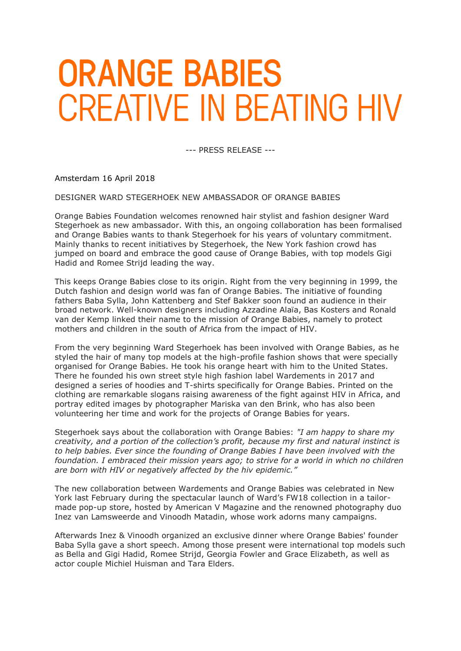## **ORANGE BABIES CREATIVE IN BEATING HIV**

--- PRESS RELEASE ---

Amsterdam 16 April 2018

DESIGNER WARD STEGERHOEK NEW AMBASSADOR OF ORANGE BABIES

Orange Babies Foundation welcomes renowned hair stylist and fashion designer Ward Stegerhoek as new ambassador. With this, an ongoing collaboration has been formalised and Orange Babies wants to thank Stegerhoek for his years of voluntary commitment. Mainly thanks to recent initiatives by Stegerhoek, the New York fashion crowd has jumped on board and embrace the good cause of Orange Babies, with top models Gigi Hadid and Romee Strijd leading the way.

This keeps Orange Babies close to its origin. Right from the very beginning in 1999, the Dutch fashion and design world was fan of Orange Babies. The initiative of founding fathers Baba Sylla, John Kattenberg and Stef Bakker soon found an audience in their broad network. Well-known designers including Azzadine Alaïa, Bas Kosters and Ronald van der Kemp linked their name to the mission of Orange Babies, namely to protect mothers and children in the south of Africa from the impact of HIV.

From the very beginning Ward Stegerhoek has been involved with Orange Babies, as he styled the hair of many top models at the high-profile fashion shows that were specially organised for Orange Babies. He took his orange heart with him to the United States. There he founded his own street style high fashion label Wardements in 2017 and designed a series of hoodies and T-shirts specifically for Orange Babies. Printed on the clothing are remarkable slogans raising awareness of the fight against HIV in Africa, and portray edited images by photographer Mariska van den Brink, who has also been volunteering her time and work for the projects of Orange Babies for years.

Stegerhoek says about the collaboration with Orange Babies: *"I am happy to share my creativity, and a portion of the collection's profit, because my first and natural instinct is to help babies. Ever since the founding of Orange Babies I have been involved with the foundation. I embraced their mission years ago; to strive for a world in which no children are born with HIV or negatively affected by the hiv epidemic."*

The new collaboration between Wardements and Orange Babies was celebrated in New York last February during the spectacular launch of Ward's FW18 collection in a tailormade pop-up store, hosted by American V Magazine and the renowned photography duo Inez van Lamsweerde and Vinoodh Matadin, whose work adorns many campaigns.

Afterwards Inez & Vinoodh organized an exclusive dinner where Orange Babies' founder Baba Sylla gave a short speech. Among those present were international top models such as Bella and Gigi Hadid, Romee Strijd, Georgia Fowler and Grace Elizabeth, as well as actor couple Michiel Huisman and Tara Elders.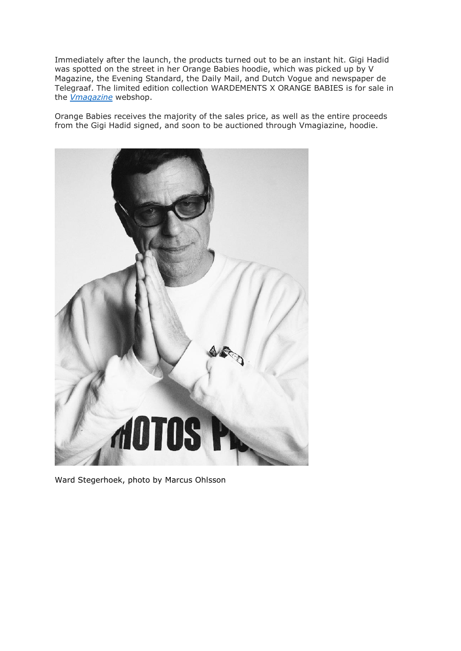Immediately after the launch, the products turned out to be an instant hit. Gigi Hadid was spotted on the street in her Orange Babies hoodie, which was picked up by V Magazine, the Evening Standard, the Daily Mail, and Dutch Vogue and newspaper de Telegraaf. The limited edition collection WARDEMENTS X ORANGE BABIES is for sale in the *[Vmagazine](http://vmagazineshop.com/wardements-shop/orange-babies-hoodie)* webshop.

Orange Babies receives the majority of the sales price, as well as the entire proceeds from the Gigi Hadid signed, and soon to be auctioned through Vmagiazine, hoodie.



Ward Stegerhoek, photo by Marcus Ohlsson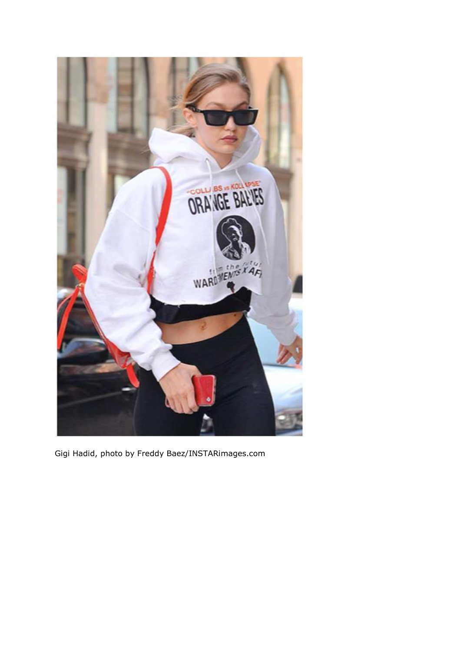

Gigi Hadid, photo by Freddy Baez/INSTARimages.com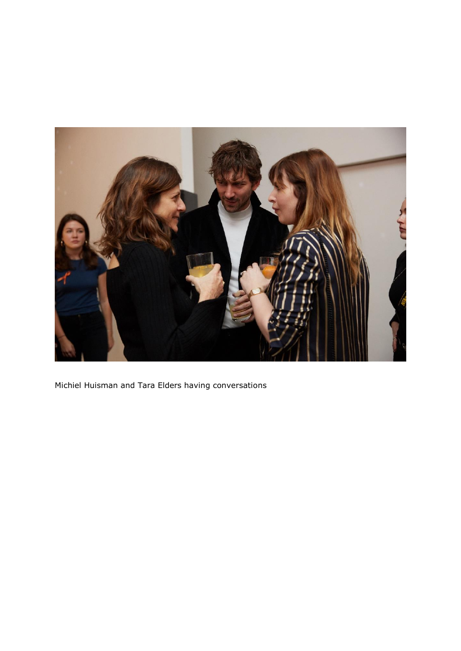

Michiel Huisman and Tara Elders having conversations